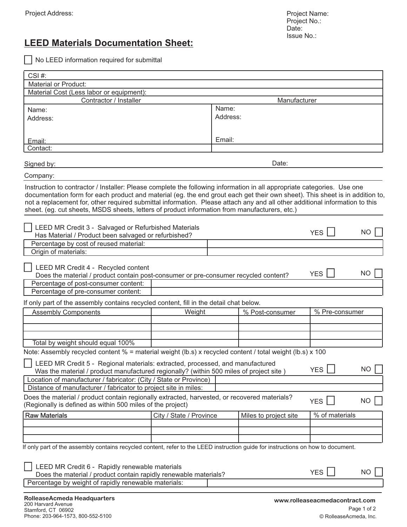## **LEED Materials Documentation Sheet:**

No LEED information required for submittal

| $CSI#$ :                                                                                                                             |                                                                                                     |                 |                       |                                |           |  |  |  |
|--------------------------------------------------------------------------------------------------------------------------------------|-----------------------------------------------------------------------------------------------------|-----------------|-----------------------|--------------------------------|-----------|--|--|--|
| <b>Material or Product:</b>                                                                                                          |                                                                                                     |                 |                       |                                |           |  |  |  |
| Material Cost (Less labor or equipment):                                                                                             |                                                                                                     |                 |                       |                                |           |  |  |  |
| Contractor / Installer                                                                                                               |                                                                                                     |                 | Manufacturer          |                                |           |  |  |  |
| Name:                                                                                                                                |                                                                                                     | Name:           |                       |                                |           |  |  |  |
| Address:                                                                                                                             |                                                                                                     | Address:        |                       |                                |           |  |  |  |
|                                                                                                                                      |                                                                                                     |                 |                       |                                |           |  |  |  |
|                                                                                                                                      |                                                                                                     | Email:          |                       |                                |           |  |  |  |
| Email:<br>Contact:                                                                                                                   |                                                                                                     |                 |                       |                                |           |  |  |  |
|                                                                                                                                      |                                                                                                     |                 |                       |                                |           |  |  |  |
| Date:<br>Signed by:                                                                                                                  |                                                                                                     |                 |                       |                                |           |  |  |  |
|                                                                                                                                      |                                                                                                     |                 |                       |                                |           |  |  |  |
| Company:                                                                                                                             |                                                                                                     |                 |                       |                                |           |  |  |  |
| Instruction to contractor / Installer: Please complete the following information in all appropriate categories. Use one              |                                                                                                     |                 |                       |                                |           |  |  |  |
| documentation form for each product and material (eg. the end grout each get their own sheet). This sheet is in addition to,         |                                                                                                     |                 |                       |                                |           |  |  |  |
| not a replacement for, other required submittal information. Please attach any and all other additional information to this          |                                                                                                     |                 |                       |                                |           |  |  |  |
| sheet. (eg. cut sheets, MSDS sheets, letters of product information from manufacturers, etc.)                                        |                                                                                                     |                 |                       |                                |           |  |  |  |
|                                                                                                                                      |                                                                                                     |                 |                       |                                |           |  |  |  |
| LEED MR Credit 3 - Salvaged or Refurbished Materials                                                                                 |                                                                                                     |                 |                       | YES                            | NO        |  |  |  |
|                                                                                                                                      | Has Material / Product been salvaged or refurbished?                                                |                 |                       |                                |           |  |  |  |
| Percentage by cost of reused material:                                                                                               |                                                                                                     |                 |                       |                                |           |  |  |  |
| Origin of materials:                                                                                                                 |                                                                                                     |                 |                       |                                |           |  |  |  |
| LEED MR Credit 4 - Recycled content                                                                                                  |                                                                                                     |                 |                       |                                |           |  |  |  |
|                                                                                                                                      | YES  <br>NO.<br>Does the material / product contain post-consumer or pre-consumer recycled content? |                 |                       |                                |           |  |  |  |
| Percentage of post-consumer content:                                                                                                 |                                                                                                     |                 |                       |                                |           |  |  |  |
| Percentage of pre-consumer content:                                                                                                  |                                                                                                     |                 |                       |                                |           |  |  |  |
|                                                                                                                                      |                                                                                                     |                 |                       |                                |           |  |  |  |
| If only part of the assembly contains recycled content, fill in the detail chat below.                                               |                                                                                                     |                 |                       |                                |           |  |  |  |
| <b>Assembly Components</b>                                                                                                           | Weight                                                                                              | % Post-consumer |                       | % Pre-consumer                 |           |  |  |  |
|                                                                                                                                      |                                                                                                     |                 |                       |                                |           |  |  |  |
|                                                                                                                                      |                                                                                                     |                 |                       |                                |           |  |  |  |
| Total by weight should equal 100%                                                                                                    |                                                                                                     |                 |                       |                                |           |  |  |  |
| Note: Assembly recycled content $% =$ material weight (lb.s) x recycled content / total weight (lb.s) x 100                          |                                                                                                     |                 |                       |                                |           |  |  |  |
|                                                                                                                                      |                                                                                                     |                 |                       |                                |           |  |  |  |
| LEED MR Credit 5 - Regional materials: extracted, processed, and manufactured                                                        |                                                                                                     |                 |                       | <b>YES</b>                     | <b>NO</b> |  |  |  |
| Was the material / product manufactured regionally? (within 500 miles of project site)                                               |                                                                                                     |                 |                       |                                |           |  |  |  |
| Location of manufacturer / fabricator: (City / State or Province)<br>Distance of manufacturer / fabricator to project site in miles: |                                                                                                     |                 |                       |                                |           |  |  |  |
|                                                                                                                                      |                                                                                                     |                 |                       |                                |           |  |  |  |
| Does the material / product contain regionally extracted, harvested, or recovered materials?                                         |                                                                                                     |                 |                       | <b>YES</b>                     | NO        |  |  |  |
| (Regionally is defined as within 500 miles of the project)                                                                           |                                                                                                     |                 |                       |                                |           |  |  |  |
| <b>Raw Materials</b>                                                                                                                 | City / State / Province                                                                             |                 | Miles to project site | % of materials                 |           |  |  |  |
|                                                                                                                                      |                                                                                                     |                 |                       |                                |           |  |  |  |
|                                                                                                                                      |                                                                                                     |                 |                       |                                |           |  |  |  |
|                                                                                                                                      |                                                                                                     |                 |                       |                                |           |  |  |  |
| If only part of the assembly contains recycled content, refer to the LEED instruction guide for instructions on how to document.     |                                                                                                     |                 |                       |                                |           |  |  |  |
|                                                                                                                                      |                                                                                                     |                 |                       |                                |           |  |  |  |
| LEED MR Credit 6 - Rapidly renewable materials                                                                                       |                                                                                                     |                 |                       |                                |           |  |  |  |
| <b>YES</b><br>NO.<br>Does the material / product contain rapidly renewable materials?                                                |                                                                                                     |                 |                       |                                |           |  |  |  |
| Percentage by weight of rapidly renewable materials:                                                                                 |                                                                                                     |                 |                       |                                |           |  |  |  |
|                                                                                                                                      |                                                                                                     |                 |                       |                                |           |  |  |  |
| RolleaseAcmeda Headquarters<br>200 Harvard Avenue                                                                                    |                                                                                                     |                 |                       | www.rolleaseacmedacontract.com |           |  |  |  |